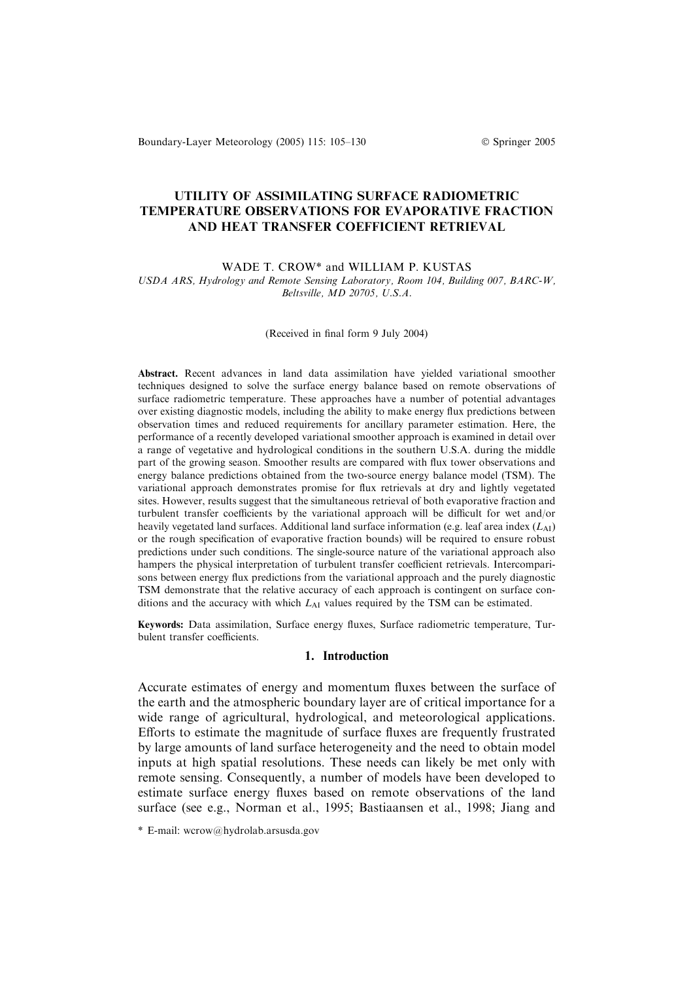Boundary-Layer Meteorology (2005) 115: 105–130 Springer 2005

# UTILITY OF ASSIMILATING SURFACE RADIOMETRIC TEMPERATURE OBSERVATIONS FOR EVAPORATIVE FRACTION AND HEAT TRANSFER COEFFICIENT RETRIEVAL

WADE T. CROW\* and WILLIAM P. KUSTAS

USDA ARS, Hydrology and Remote Sensing Laboratory, Room 104, Building 007, BARC-W, Beltsville, MD 20705, U.S.A.

(Received in final form 9 July 2004)

Abstract. Recent advances in land data assimilation have yielded variational smoother techniques designed to solve the surface energy balance based on remote observations of surface radiometric temperature. These approaches have a number of potential advantages over existing diagnostic models, including the ability to make energy flux predictions between observation times and reduced requirements for ancillary parameter estimation. Here, the performance of a recently developed variational smoother approach is examined in detail over a range of vegetative and hydrological conditions in the southern U.S.A. during the middle part of the growing season. Smoother results are compared with flux tower observations and energy balance predictions obtained from the two-source energy balance model (TSM). The variational approach demonstrates promise for flux retrievals at dry and lightly vegetated sites. However, results suggest that the simultaneous retrieval of both evaporative fraction and turbulent transfer coefficients by the variational approach will be difficult for wet and/or heavily vegetated land surfaces. Additional land surface information (e.g. leaf area index  $(L<sub>A1</sub>)$ ) or the rough specification of evaporative fraction bounds) will be required to ensure robust predictions under such conditions. The single-source nature of the variational approach also hampers the physical interpretation of turbulent transfer coefficient retrievals. Intercomparisons between energy flux predictions from the variational approach and the purely diagnostic TSM demonstrate that the relative accuracy of each approach is contingent on surface conditions and the accuracy with which  $L_{AI}$  values required by the TSM can be estimated.

Keywords: Data assimilation, Surface energy fluxes, Surface radiometric temperature, Turbulent transfer coefficients.

# 1. Introduction

Accurate estimates of energy and momentum fluxes between the surface of the earth and the atmospheric boundary layer are of critical importance for a wide range of agricultural, hydrological, and meteorological applications. Efforts to estimate the magnitude of surface fluxes are frequently frustrated by large amounts of land surface heterogeneity and the need to obtain model inputs at high spatial resolutions. These needs can likely be met only with remote sensing. Consequently, a number of models have been developed to estimate surface energy fluxes based on remote observations of the land surface (see e.g., Norman et al., 1995; Bastiaansen et al., 1998; Jiang and

<sup>\*</sup> E-mail: wcrow@hydrolab.arsusda.gov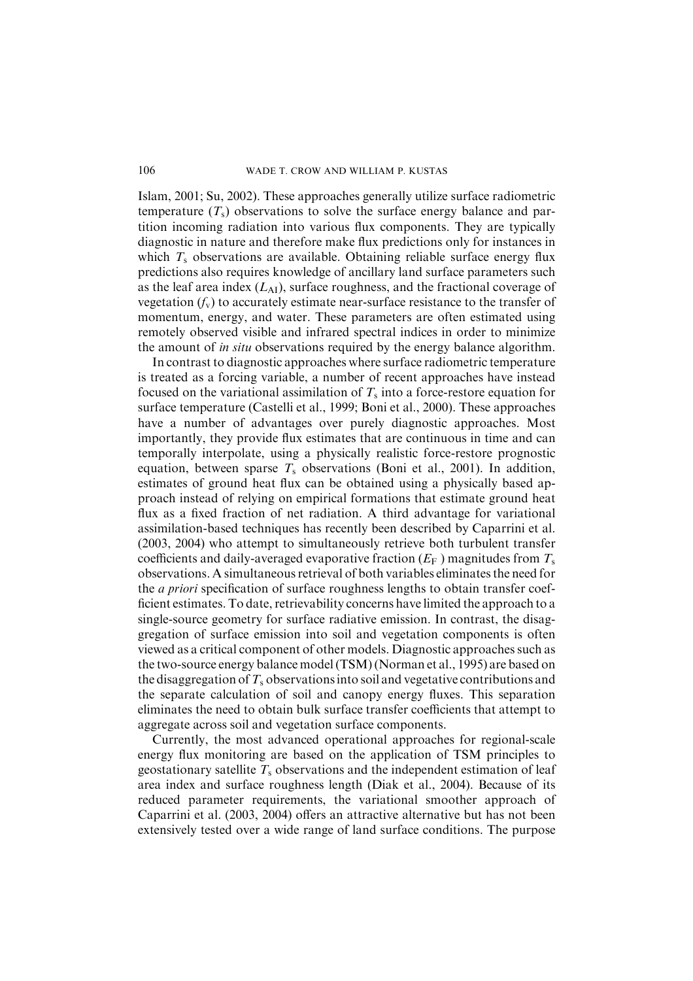Islam, 2001; Su, 2002). These approaches generally utilize surface radiometric temperature  $(T_s)$  observations to solve the surface energy balance and partition incoming radiation into various flux components. They are typically diagnostic in nature and therefore make flux predictions only for instances in which  $T_s$  observations are available. Obtaining reliable surface energy flux predictions also requires knowledge of ancillary land surface parameters such as the leaf area index  $(L_{AI})$ , surface roughness, and the fractional coverage of vegetation  $(f_v)$  to accurately estimate near-surface resistance to the transfer of momentum, energy, and water. These parameters are often estimated using remotely observed visible and infrared spectral indices in order to minimize the amount of in situ observations required by the energy balance algorithm.

In contrast to diagnostic approaches where surface radiometric temperature is treated as a forcing variable, a number of recent approaches have instead focused on the variational assimilation of  $T_s$  into a force-restore equation for surface temperature (Castelli et al., 1999; Boni et al., 2000). These approaches have a number of advantages over purely diagnostic approaches. Most importantly, they provide flux estimates that are continuous in time and can temporally interpolate, using a physically realistic force-restore prognostic equation, between sparse  $T_s$  observations (Boni et al., 2001). In addition, estimates of ground heat flux can be obtained using a physically based approach instead of relying on empirical formations that estimate ground heat flux as a fixed fraction of net radiation. A third advantage for variational assimilation-based techniques has recently been described by Caparrini et al. (2003, 2004) who attempt to simultaneously retrieve both turbulent transfer coefficients and daily-averaged evaporative fraction  $(E_F)$  magnitudes from  $T_s$ observations. A simultaneous retrieval of both variables eliminates the need for the *a priori* specification of surface roughness lengths to obtain transfer coefficient estimates. To date, retrievability concerns have limited the approach to a single-source geometry for surface radiative emission. In contrast, the disaggregation of surface emission into soil and vegetation components is often viewed as a critical component of other models. Diagnostic approaches such as the two-source energy balance model (TSM) (Norman et al., 1995) are based on the disaggregation of  $T_s$  observations into soil and vegetative contributions and the separate calculation of soil and canopy energy fluxes. This separation eliminates the need to obtain bulk surface transfer coefficients that attempt to aggregate across soil and vegetation surface components.

Currently, the most advanced operational approaches for regional-scale energy flux monitoring are based on the application of TSM principles to geostationary satellite  $T<sub>s</sub>$  observations and the independent estimation of leaf area index and surface roughness length (Diak et al., 2004). Because of its reduced parameter requirements, the variational smoother approach of Caparrini et al. (2003, 2004) offers an attractive alternative but has not been extensively tested over a wide range of land surface conditions. The purpose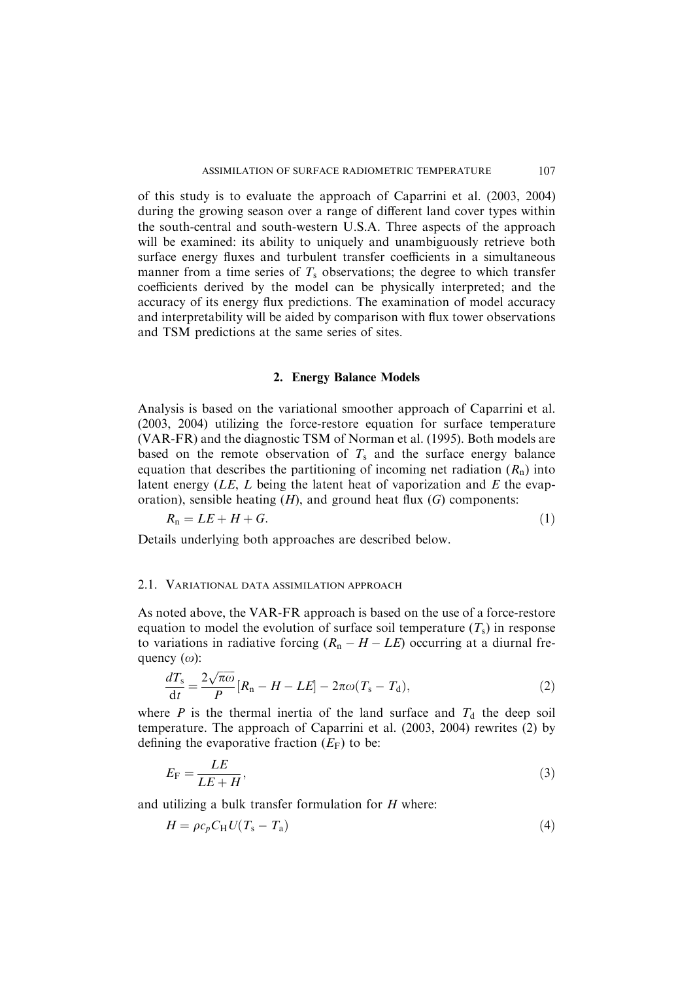of this study is to evaluate the approach of Caparrini et al. (2003, 2004) during the growing season over a range of different land cover types within the south-central and south-western U.S.A. Three aspects of the approach will be examined: its ability to uniquely and unambiguously retrieve both surface energy fluxes and turbulent transfer coefficients in a simultaneous manner from a time series of  $T_s$  observations; the degree to which transfer coefficients derived by the model can be physically interpreted; and the accuracy of its energy flux predictions. The examination of model accuracy and interpretability will be aided by comparison with flux tower observations and TSM predictions at the same series of sites.

### 2. Energy Balance Models

Analysis is based on the variational smoother approach of Caparrini et al. (2003, 2004) utilizing the force-restore equation for surface temperature (VAR-FR) and the diagnostic TSM of Norman et al. (1995). Both models are based on the remote observation of  $T_s$  and the surface energy balance equation that describes the partitioning of incoming net radiation  $(R_n)$  into latent energy  $(LE, L$  being the latent heat of vaporization and  $E$  the evaporation), sensible heating  $(H)$ , and ground heat flux  $(G)$  components:

$$
R_n = LE + H + G.\tag{1}
$$

Details underlying both approaches are described below.

### 2.1. VARIATIONAL DATA ASSIMILATION APPROACH

As noted above, the VAR-FR approach is based on the use of a force-restore equation to model the evolution of surface soil temperature  $(T<sub>s</sub>)$  in response to variations in radiative forcing  $(R_n - H - LE)$  occurring at a diurnal frequency  $(\omega)$ :

$$
\frac{dT_s}{dt} = \frac{2\sqrt{\pi\omega}}{P} [R_n - H - LE] - 2\pi\omega(T_s - T_d),\tag{2}
$$

where P is the thermal inertia of the land surface and  $T<sub>d</sub>$  the deep soil temperature. The approach of Caparrini et al. (2003, 2004) rewrites (2) by defining the evaporative fraction  $(E_F)$  to be:

$$
E_{\rm F} = \frac{LE}{LE + H},\tag{3}
$$

and utilizing a bulk transfer formulation for  $H$  where:

$$
H = \rho c_p C_H U (T_s - T_a) \tag{4}
$$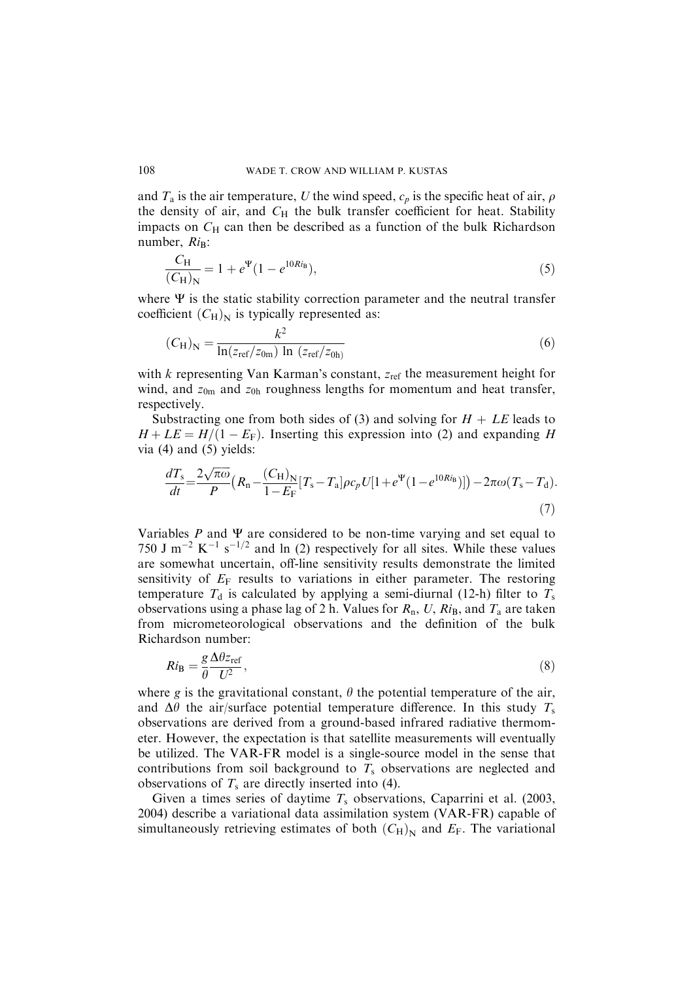and  $T_a$  is the air temperature, U the wind speed,  $c_p$  is the specific heat of air,  $\rho$ the density of air, and  $C_H$  the bulk transfer coefficient for heat. Stability impacts on  $C_H$  can then be described as a function of the bulk Richardson number,  $Ri_{\rm B}$ :

$$
\frac{C_{\rm H}}{(C_{\rm H})_{\rm N}} = 1 + e^{\Psi} (1 - e^{10R i_{\rm B}}),\tag{5}
$$

where  $\Psi$  is the static stability correction parameter and the neutral transfer coefficient  $(C_H)$ <sub>N</sub> is typically represented as:

$$
(C_{\rm H})_{\rm N} = \frac{k^2}{\ln(z_{\rm ref}/z_{\rm 0m}) \ln(z_{\rm ref}/z_{\rm 0h})}
$$
(6)

with  $k$  representing Van Karman's constant,  $z_{ref}$  the measurement height for wind, and  $z_{0m}$  and  $z_{0h}$  roughness lengths for momentum and heat transfer, respectively.

Substracting one from both sides of (3) and solving for  $H + LE$  leads to  $H + LE = H/(1 - E<sub>F</sub>)$ . Inserting this expression into (2) and expanding H via (4) and (5) yields:

$$
\frac{dT_{\rm s}}{dt} = \frac{2\sqrt{\pi\omega}}{P} \left( R_{\rm n} - \frac{(C_{\rm H})_{\rm N}}{1 - E_{\rm F}} [T_{\rm s} - T_{\rm a}] \rho c_p U [1 + e^{\Psi} (1 - e^{10R_{\rm B}})] \right) - 2\pi\omega (T_{\rm s} - T_{\rm d}).
$$
\n(7)

Variables  $P$  and  $\Psi$  are considered to be non-time varying and set equal to 750 J m<sup>-2</sup> K<sup>-1</sup> s<sup>-1/2</sup> and ln (2) respectively for all sites. While these values are somewhat uncertain, off-line sensitivity results demonstrate the limited sensitivity of  $E_F$  results to variations in either parameter. The restoring temperature  $T_d$  is calculated by applying a semi-diurnal (12-h) filter to  $T_s$ observations using a phase lag of 2 h. Values for  $R_n$ , U,  $R_i$ <sub>B</sub>, and  $T_a$  are taken from micrometeorological observations and the definition of the bulk Richardson number:

$$
Ri_{\rm B} = \frac{g}{\theta} \frac{\Delta \theta z_{\rm ref}}{U^2},\tag{8}
$$

where g is the gravitational constant,  $\theta$  the potential temperature of the air, and  $\Delta\theta$  the air/surface potential temperature difference. In this study  $T_s$ observations are derived from a ground-based infrared radiative thermometer. However, the expectation is that satellite measurements will eventually be utilized. The VAR-FR model is a single-source model in the sense that contributions from soil background to  $T_s$  observations are neglected and observations of  $T_s$  are directly inserted into (4).

Given a times series of daytime  $T_s$  observations, Caparrini et al. (2003, 2004) describe a variational data assimilation system (VAR-FR) capable of simultaneously retrieving estimates of both  $(C_H)_{N}$  and  $E_F$ . The variational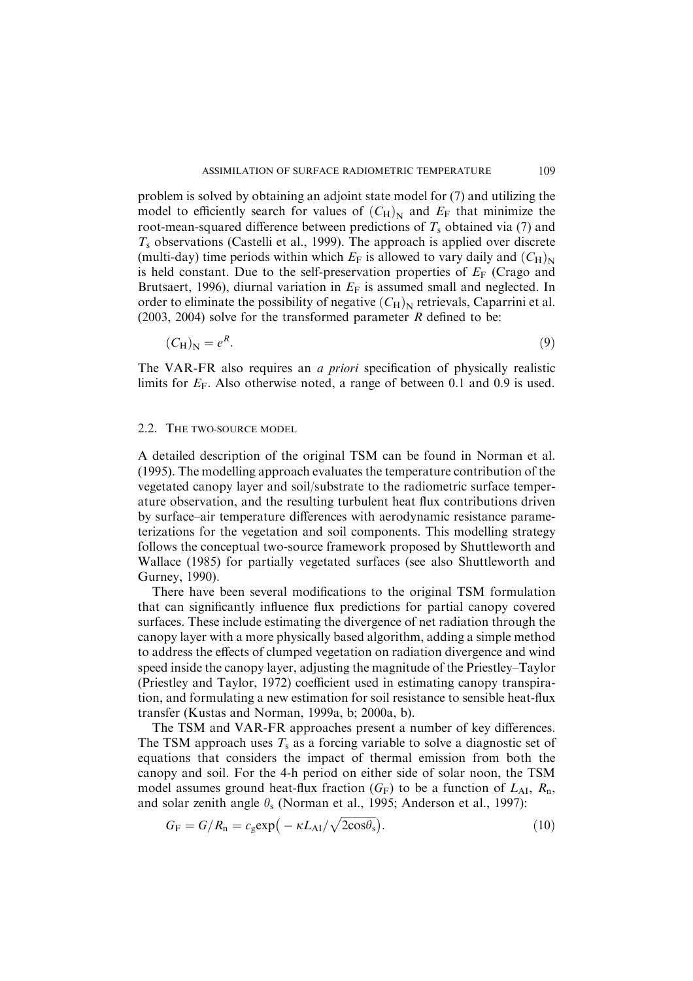problem is solved by obtaining an adjoint state model for (7) and utilizing the model to efficiently search for values of  $(C_H)_{N}$  and  $E_F$  that minimize the root-mean-squared difference between predictions of  $T_s$  obtained via (7) and  $T<sub>s</sub>$  observations (Castelli et al., 1999). The approach is applied over discrete (multi-day) time periods within which  $E_F$  is allowed to vary daily and  $(C_H)_N$ is held constant. Due to the self-preservation properties of  $E_F$  (Crago and Brutsaert, 1996), diurnal variation in  $E_F$  is assumed small and neglected. In order to eliminate the possibility of negative  $(C_H)_{N}$  retrievals, Caparrini et al. (2003, 2004) solve for the transformed parameter  $R$  defined to be:

$$
(C_{\mathrm{H}})_{\mathrm{N}} = e^{R}.\tag{9}
$$

The VAR-FR also requires an *a priori* specification of physically realistic limits for  $E_F$ . Also otherwise noted, a range of between 0.1 and 0.9 is used.

### 2.2. THE TWO-SOURCE MODEL

A detailed description of the original TSM can be found in Norman et al. (1995). The modelling approach evaluates the temperature contribution of the vegetated canopy layer and soil/substrate to the radiometric surface temperature observation, and the resulting turbulent heat flux contributions driven by surface–air temperature differences with aerodynamic resistance parameterizations for the vegetation and soil components. This modelling strategy follows the conceptual two-source framework proposed by Shuttleworth and Wallace (1985) for partially vegetated surfaces (see also Shuttleworth and Gurney, 1990).

There have been several modifications to the original TSM formulation that can significantly influence flux predictions for partial canopy covered surfaces. These include estimating the divergence of net radiation through the canopy layer with a more physically based algorithm, adding a simple method to address the effects of clumped vegetation on radiation divergence and wind speed inside the canopy layer, adjusting the magnitude of the Priestley–Taylor (Priestley and Taylor, 1972) coefficient used in estimating canopy transpiration, and formulating a new estimation for soil resistance to sensible heat-flux transfer (Kustas and Norman, 1999a, b; 2000a, b).

The TSM and VAR-FR approaches present a number of key differences. The TSM approach uses  $T_s$  as a forcing variable to solve a diagnostic set of equations that considers the impact of thermal emission from both the canopy and soil. For the 4-h period on either side of solar noon, the TSM model assumes ground heat-flux fraction ( $G_F$ ) to be a function of  $L_{AI}$ ,  $R_n$ , and solar zenith angle  $\theta_s$  (Norman et al., 1995; Anderson et al., 1997):

$$
G_{\rm F} = G/R_{\rm n} = c_{\rm g} \exp\left(-\kappa L_{\rm AI}/\sqrt{2\cos\theta_{\rm s}}\right). \tag{10}
$$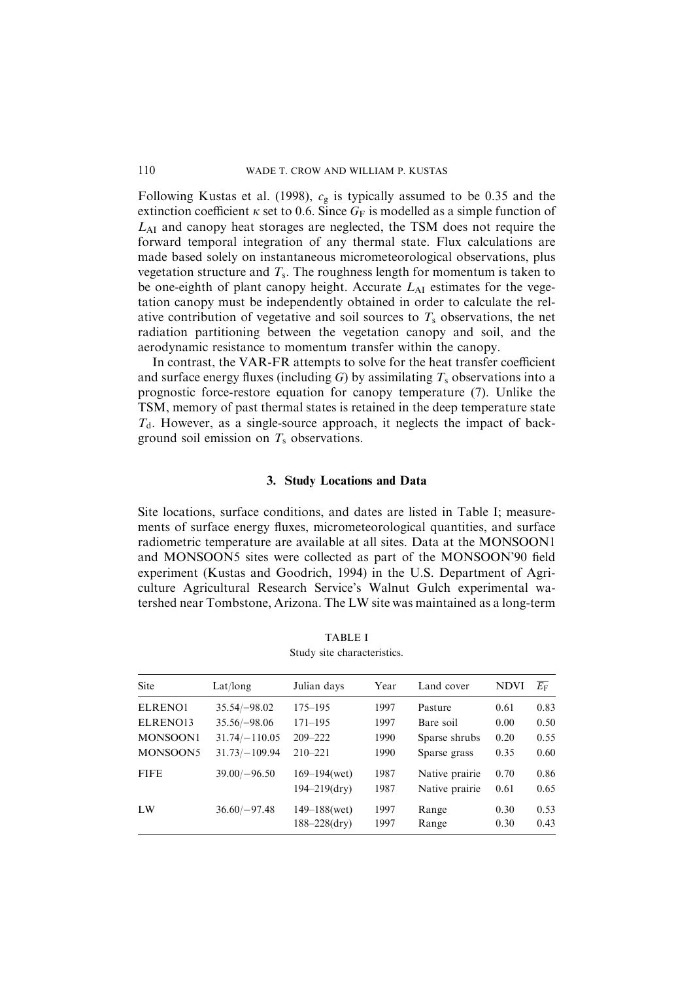Following Kustas et al. (1998),  $c<sub>g</sub>$  is typically assumed to be 0.35 and the extinction coefficient  $\kappa$  set to 0.6. Since  $G_F$  is modelled as a simple function of  $L_{\text{AI}}$  and canopy heat storages are neglected, the TSM does not require the forward temporal integration of any thermal state. Flux calculations are made based solely on instantaneous micrometeorological observations, plus vegetation structure and  $T_s$ . The roughness length for momentum is taken to be one-eighth of plant canopy height. Accurate  $L_{\text{Al}}$  estimates for the vegetation canopy must be independently obtained in order to calculate the relative contribution of vegetative and soil sources to  $T<sub>s</sub>$  observations, the net radiation partitioning between the vegetation canopy and soil, and the aerodynamic resistance to momentum transfer within the canopy.

In contrast, the VAR-FR attempts to solve for the heat transfer coefficient and surface energy fluxes (including  $G$ ) by assimilating  $T_s$  observations into a prognostic force-restore equation for canopy temperature (7). Unlike the TSM, memory of past thermal states is retained in the deep temperature state  $T<sub>d</sub>$ . However, as a single-source approach, it neglects the impact of background soil emission on  $T_s$  observations.

### 3. Study Locations and Data

Site locations, surface conditions, and dates are listed in Table I; measurements of surface energy fluxes, micrometeorological quantities, and surface radiometric temperature are available at all sites. Data at the MONSOON1 and MONSOON5 sites were collected as part of the MONSOON'90 field experiment (Kustas and Goodrich, 1994) in the U.S. Department of Agriculture Agricultural Research Service's Walnut Gulch experimental watershed near Tombstone, Arizona. The LW site was maintained as a long-term

| <b>Site</b>                                 | Lat/long                                                               | Julian days                                              | Year                         | Land cover                                            | <b>NDVI</b>                  | $\overline{E_{\rm F}}$       |
|---------------------------------------------|------------------------------------------------------------------------|----------------------------------------------------------|------------------------------|-------------------------------------------------------|------------------------------|------------------------------|
| ELRENO1<br>ELRENO13<br>MONSOON1<br>MONSOON5 | $35.54/-98.02$<br>$35.56/-98.06$<br>$31.74/-110.05$<br>$31.73/-109.94$ | $175 - 195$<br>$171 - 195$<br>$209 - 222$<br>$210 - 221$ | 1997<br>1997<br>1990<br>1990 | Pasture<br>Bare soil<br>Sparse shrubs<br>Sparse grass | 0.61<br>0.00<br>0.20<br>0.35 | 0.83<br>0.50<br>0.55<br>0.60 |
| <b>FIFE</b>                                 | $39.00/-96.50$                                                         | $169 - 194$ (wet)<br>$194 - 219$ (dry)                   | 1987<br>1987                 | Native prairie<br>Native prairie                      | 0.70<br>0.61                 | 0.86<br>0.65                 |
| LW                                          | $36.60/-97.48$                                                         | $149 - 188$ (wet)<br>$188 - 228$ (dry)                   | 1997<br>1997                 | Range<br>Range                                        | 0.30<br>0.30                 | 0.53<br>0.43                 |

TABLE I Study site characteristics.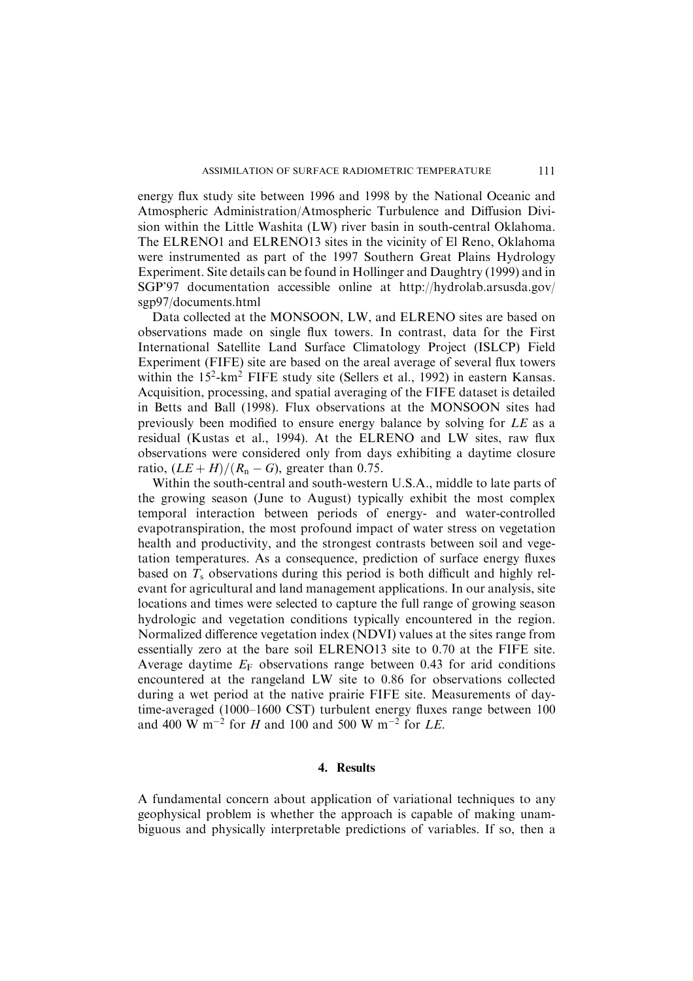energy flux study site between 1996 and 1998 by the National Oceanic and Atmospheric Administration/Atmospheric Turbulence and Diffusion Division within the Little Washita (LW) river basin in south-central Oklahoma. The ELRENO1 and ELRENO13 sites in the vicinity of El Reno, Oklahoma were instrumented as part of the 1997 Southern Great Plains Hydrology Experiment. Site details can be found in Hollinger and Daughtry (1999) and in SGP'97 documentation accessible online at http://hydrolab.arsusda.gov/ sgp97/documents.html

Data collected at the MONSOON, LW, and ELRENO sites are based on observations made on single flux towers. In contrast, data for the First International Satellite Land Surface Climatology Project (ISLCP) Field Experiment (FIFE) site are based on the areal average of several flux towers within the  $15^2$ -km<sup>2</sup> FIFE study site (Sellers et al., 1992) in eastern Kansas. Acquisition, processing, and spatial averaging of the FIFE dataset is detailed in Betts and Ball (1998). Flux observations at the MONSOON sites had previously been modified to ensure energy balance by solving for LE as a residual (Kustas et al., 1994). At the ELRENO and LW sites, raw flux observations were considered only from days exhibiting a daytime closure ratio,  $(LE + H)/(R_n - G)$ , greater than 0.75.

Within the south-central and south-western U.S.A., middle to late parts of the growing season (June to August) typically exhibit the most complex temporal interaction between periods of energy- and water-controlled evapotranspiration, the most profound impact of water stress on vegetation health and productivity, and the strongest contrasts between soil and vegetation temperatures. As a consequence, prediction of surface energy fluxes based on  $T_s$  observations during this period is both difficult and highly relevant for agricultural and land management applications. In our analysis, site locations and times were selected to capture the full range of growing season hydrologic and vegetation conditions typically encountered in the region. Normalized difference vegetation index (NDVI) values at the sites range from essentially zero at the bare soil ELRENO13 site to 0.70 at the FIFE site. Average daytime  $E_F$  observations range between 0.43 for arid conditions encountered at the rangeland LW site to 0.86 for observations collected during a wet period at the native prairie FIFE site. Measurements of daytime-averaged (1000–1600 CST) turbulent energy fluxes range between 100 and 400 W  $\mathrm{m}^{-2}$  for H and 100 and 500 W  $\mathrm{m}^{-2}$  for LE.

## 4. Results

A fundamental concern about application of variational techniques to any geophysical problem is whether the approach is capable of making unambiguous and physically interpretable predictions of variables. If so, then a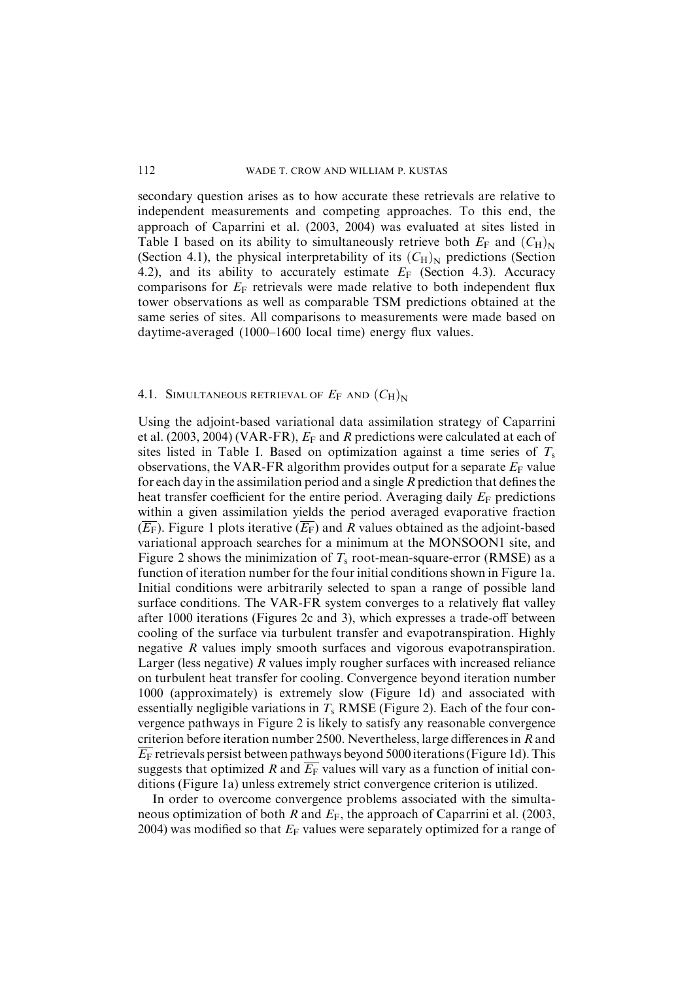secondary question arises as to how accurate these retrievals are relative to independent measurements and competing approaches. To this end, the approach of Caparrini et al. (2003, 2004) was evaluated at sites listed in Table I based on its ability to simultaneously retrieve both  $E_F$  and  $(C_H)_N$ (Section 4.1), the physical interpretability of its  $(C_H)_{N}$  predictions (Section 4.2), and its ability to accurately estimate  $E_F$  (Section 4.3). Accuracy comparisons for  $E_F$  retrievals were made relative to both independent flux tower observations as well as comparable TSM predictions obtained at the same series of sites. All comparisons to measurements were made based on daytime-averaged (1000–1600 local time) energy flux values.

# 4.1. SIMULTANEOUS RETRIEVAL OF  $E_F$  and  $(C_H)_N$

Using the adjoint-based variational data assimilation strategy of Caparrini et al. (2003, 2004) (VAR-FR),  $E_F$  and R predictions were calculated at each of sites listed in Table I. Based on optimization against a time series of  $T_s$ observations, the VAR-FR algorithm provides output for a separate  $E_F$  value for each day in the assimilation period and a single  *prediction that defines the* heat transfer coefficient for the entire period. Averaging daily  $E_F$  predictions within a given assimilation yields the period averaged evaporative fraction  $(\overline{E_{\rm F}})$ . Figure 1 plots iterative  $(\overline{E_{\rm F}})$  and R values obtained as the adjoint-based variational approach searches for a minimum at the MONSOON1 site, and Figure 2 shows the minimization of  $T_s$  root-mean-square-error (RMSE) as a function of iteration number for the four initial conditions shown in Figure 1a. Initial conditions were arbitrarily selected to span a range of possible land surface conditions. The VAR-FR system converges to a relatively flat valley after 1000 iterations (Figures 2c and 3), which expresses a trade-off between cooling of the surface via turbulent transfer and evapotranspiration. Highly negative R values imply smooth surfaces and vigorous evapotranspiration. Larger (less negative) R values imply rougher surfaces with increased reliance on turbulent heat transfer for cooling. Convergence beyond iteration number 1000 (approximately) is extremely slow (Figure 1d) and associated with essentially negligible variations in  $T_s$  RMSE (Figure 2). Each of the four convergence pathways in Figure 2 is likely to satisfy any reasonable convergence criterion before iteration number 2500. Nevertheless, large differences in R and  $\overline{E_{\rm F}}$  retrievals persist between pathways beyond 5000 iterations (Figure 1d). This suggests that optimized R and  $\overline{E_{\rm F}}$  values will vary as a function of initial conditions (Figure 1a) unless extremely strict convergence criterion is utilized.

In order to overcome convergence problems associated with the simultaneous optimization of both R and  $E_F$ , the approach of Caparrini et al. (2003, 2004) was modified so that  $E_F$  values were separately optimized for a range of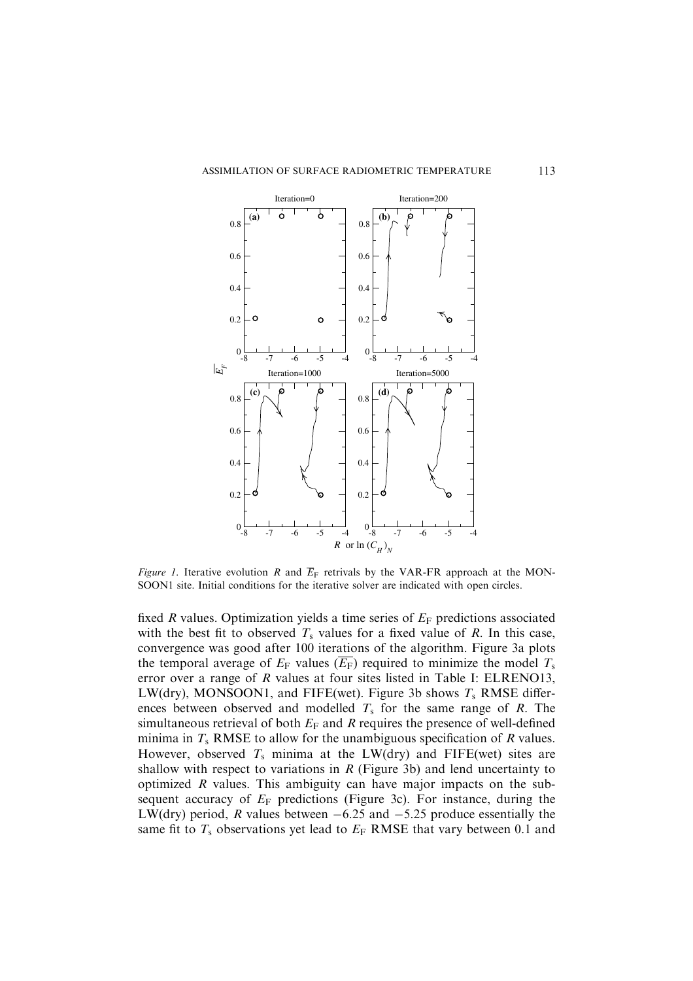

Figure 1. Iterative evolution R and  $\overline{E}_F$  retrivals by the VAR-FR approach at the MON-SOON1 site. Initial conditions for the iterative solver are indicated with open circles.

fixed R values. Optimization yields a time series of  $E_F$  predictions associated with the best fit to observed  $T_s$  values for a fixed value of R. In this case, convergence was good after 100 iterations of the algorithm. Figure 3a plots the temporal average of  $E_F$  values  $(\overline{E_F})$  required to minimize the model  $T_s$ error over a range of R values at four sites listed in Table I: ELRENO13, LW(dry), MONSOON1, and FIFE(wet). Figure 3b shows  $T_s$  RMSE differences between observed and modelled  $T_s$  for the same range of R. The simultaneous retrieval of both  $E_F$  and R requires the presence of well-defined minima in  $T_s$  RMSE to allow for the unambiguous specification of R values. However, observed  $T_s$  minima at the LW(dry) and FIFE(wet) sites are shallow with respect to variations in  $R$  (Figure 3b) and lend uncertainty to optimized  *values. This ambiguity can have major impacts on the sub*sequent accuracy of  $E_F$  predictions (Figure 3c). For instance, during the LW(dry) period, R values between  $-6.25$  and  $-5.25$  produce essentially the same fit to  $T_s$  observations yet lead to  $E_F$  RMSE that vary between 0.1 and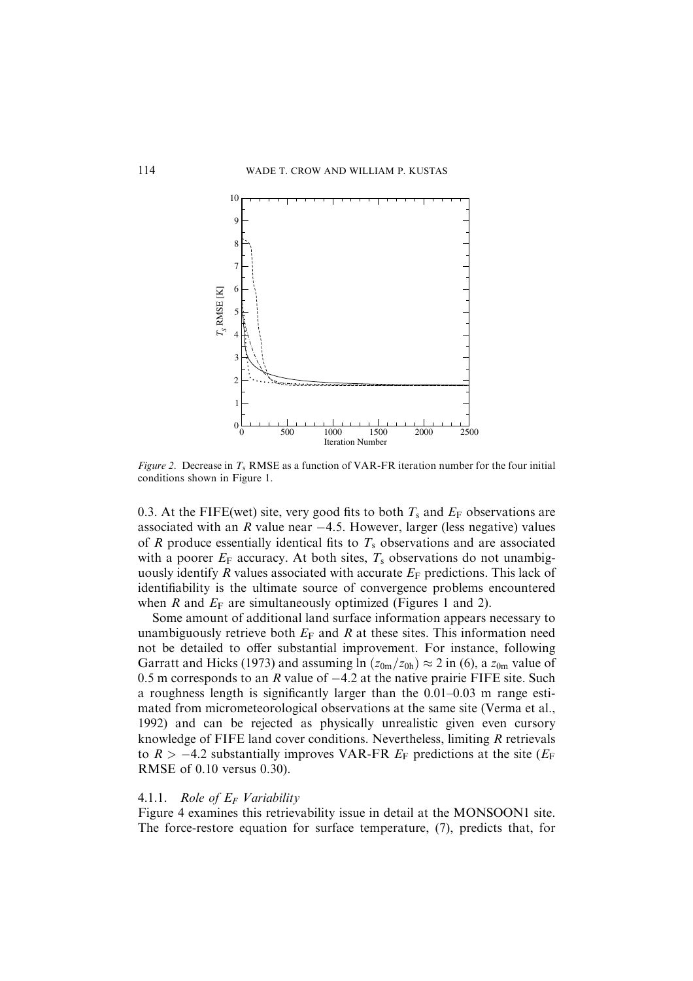

Figure 2. Decrease in  $T_s$  RMSE as a function of VAR-FR iteration number for the four initial conditions shown in Figure 1.

0.3. At the FIFE(wet) site, very good fits to both  $T_s$  and  $E_F$  observations are associated with an  $R$  value near  $-4.5$ . However, larger (less negative) values of R produce essentially identical fits to  $T<sub>s</sub>$  observations and are associated with a poorer  $E_F$  accuracy. At both sites,  $T_s$  observations do not unambiguously identify R values associated with accurate  $E_F$  predictions. This lack of identifiability is the ultimate source of convergence problems encountered when R and  $E_F$  are simultaneously optimized (Figures 1 and 2).

Some amount of additional land surface information appears necessary to unambiguously retrieve both  $E_F$  and R at these sites. This information need not be detailed to offer substantial improvement. For instance, following Garratt and Hicks (1973) and assuming  $\ln (z_{0m}/z_{0h}) \approx 2$  in (6), a  $z_{0m}$  value of 0.5 m corresponds to an  $R$  value of  $-4.2$  at the native prairie FIFE site. Such a roughness length is significantly larger than the 0.01–0.03 m range estimated from micrometeorological observations at the same site (Verma et al., 1992) and can be rejected as physically unrealistic given even cursory knowledge of FIFE land cover conditions. Nevertheless, limiting R retrievals to  $R > -4.2$  substantially improves VAR-FR  $E_F$  predictions at the site ( $E_F$ ) RMSE of 0.10 versus 0.30).

## 4.1.1. Role of  $E_F$  Variability

Figure 4 examines this retrievability issue in detail at the MONSOON1 site. The force-restore equation for surface temperature, (7), predicts that, for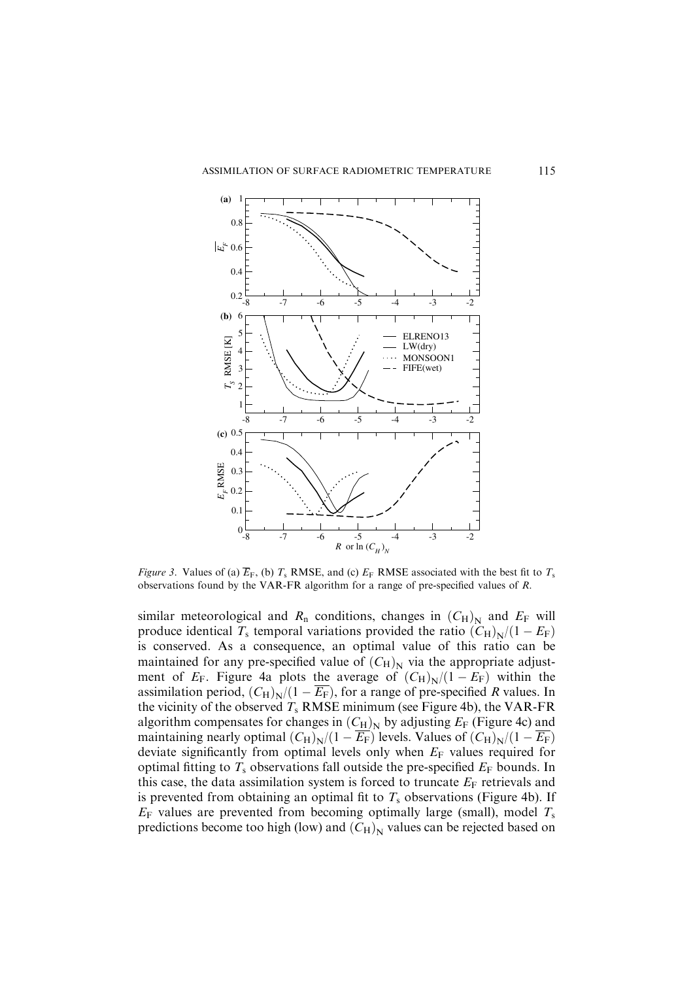

Figure 3. Values of (a)  $\overline{E}_F$ , (b) T<sub>s</sub> RMSE, and (c)  $E_F$  RMSE associated with the best fit to T<sub>s</sub> observations found by the VAR-FR algorithm for a range of pre-specified values of R.

similar meteorological and  $R_n$  conditions, changes in  $(C_H)_N$  and  $E_F$  will produce identical  $T_s$  temporal variations provided the ratio  $(C_H)_{\text{N}}/(1 - E_F)$ is conserved. As a consequence, an optimal value of this ratio can be maintained for any pre-specified value of  $(C_H)_{N}$  via the appropriate adjustment of  $E_F$ . Figure 4a plots the average of  $(C_H)_{\text{N}}/(1 - E_F)$  within the assimilation period,  $(C_H)_{\text{N}}/(1 - \overline{E_{\text{F}}})$ , for a range of pre-specified R values. In the vicinity of the observed  $T_s$  RMSE minimum (see Figure 4b), the VAR-FR algorithm compensates for changes in  $(C_H)_N$  by adjusting  $E_F$  (Figure 4c) and maintaining nearly optimal  $(C_H)_{N}/(1 - \overline{E_F})$  levels. Values of  $(C_H)_{N}/(1 - \overline{E_F})$ deviate significantly from optimal levels only when  $E_F$  values required for optimal fitting to  $T_s$  observations fall outside the pre-specified  $E_F$  bounds. In this case, the data assimilation system is forced to truncate  $E_F$  retrievals and is prevented from obtaining an optimal fit to  $T_s$  observations (Figure 4b). If  $E_F$  values are prevented from becoming optimally large (small), model  $T_s$ predictions become too high (low) and  $(C_H)_{N}$  values can be rejected based on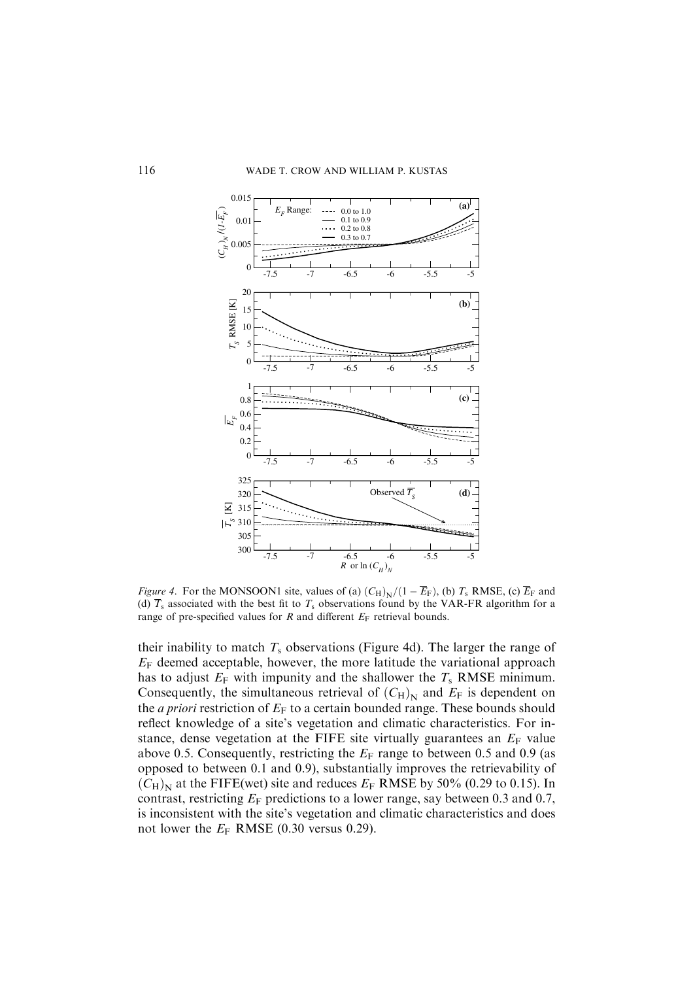

Figure 4. For the MONSOON1 site, values of (a)  $(C_H)_{N}/(1 - \overline{E}_F)$ , (b) T<sub>s</sub> RMSE, (c)  $\overline{E}_F$  and (d)  $\overline{T}_s$  associated with the best fit to  $T_s$  observations found by the VAR-FR algorithm for a range of pre-specified values for  $R$  and different  $E_F$  retrieval bounds.

their inability to match  $T_s$  observations (Figure 4d). The larger the range of  $E_F$  deemed acceptable, however, the more latitude the variational approach has to adjust  $E_F$  with impunity and the shallower the  $T_s$  RMSE minimum. Consequently, the simultaneous retrieval of  $(C_H)_{N}$  and  $E_F$  is dependent on the *a priori* restriction of  $E_F$  to a certain bounded range. These bounds should reflect knowledge of a site's vegetation and climatic characteristics. For instance, dense vegetation at the FIFE site virtually guarantees an  $E_F$  value above 0.5. Consequently, restricting the  $E_F$  range to between 0.5 and 0.9 (as opposed to between 0.1 and 0.9), substantially improves the retrievability of  $(C_H)$ <sub>N</sub> at the FIFE(wet) site and reduces  $E_F$  RMSE by 50% (0.29 to 0.15). In contrast, restricting  $E_F$  predictions to a lower range, say between 0.3 and 0.7, is inconsistent with the site's vegetation and climatic characteristics and does not lower the  $E_F$  RMSE (0.30 versus 0.29).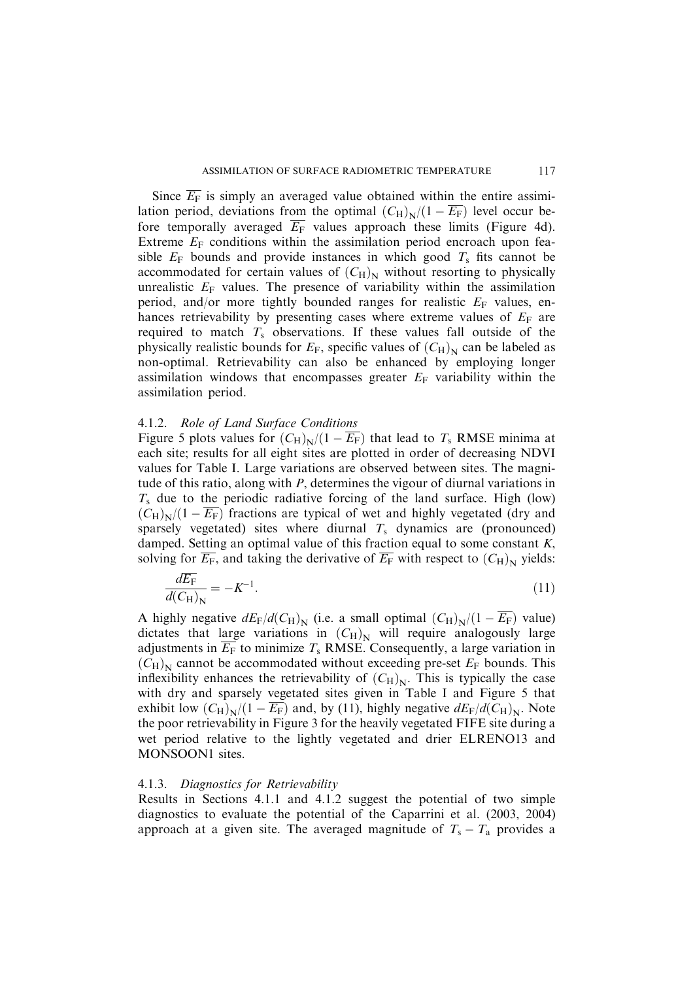Since  $\overline{E_{\rm F}}$  is simply an averaged value obtained within the entire assimilation period, deviations from the optimal  $(C_H)_{N}/(1 - \overline{E_F})$  level occur before temporally averaged  $\overline{E_{\rm F}}$  values approach these limits (Figure 4d). Extreme  $E_F$  conditions within the assimilation period encroach upon feasible  $E_F$  bounds and provide instances in which good  $T_s$  fits cannot be accommodated for certain values of  $(C_H)_{N}$  without resorting to physically unrealistic  $E_F$  values. The presence of variability within the assimilation period, and/or more tightly bounded ranges for realistic  $E_F$  values, enhances retrievability by presenting cases where extreme values of  $E_F$  are required to match  $T_s$  observations. If these values fall outside of the physically realistic bounds for  $E_F$ , specific values of  $(C_H)_N$  can be labeled as non-optimal. Retrievability can also be enhanced by employing longer assimilation windows that encompasses greater  $E_F$  variability within the assimilation period.

### 4.1.2. Role of Land Surface Conditions

Figure 5 plots values for  $(C_H)_{\text{N}}/(1 - \overline{E_F})$  that lead to  $T_s$  RMSE minima at each site; results for all eight sites are plotted in order of decreasing NDVI values for Table I. Large variations are observed between sites. The magnitude of this ratio, along with P, determines the vigour of diurnal variations in  $T<sub>s</sub>$  due to the periodic radiative forcing of the land surface. High (low)  $(C_H)_{\text{N}}/(1 - \overline{E_F})$  fractions are typical of wet and highly vegetated (dry and sparsely vegetated) sites where diurnal  $T_s$  dynamics are (pronounced) damped. Setting an optimal value of this fraction equal to some constant  $K$ , solving for  $\overline{E_{\rm F}}$ , and taking the derivative of  $\overline{E_{\rm F}}$  with respect to  $(C_{\rm H})_{\rm N}$  yields:

$$
\frac{d\overline{E_{\rm F}}}{d(C_{\rm H})_{\rm N}} = -K^{-1}.\tag{11}
$$

A highly negative  $dE_F/d(C_H)_{\text{N}}$  (i.e. a small optimal  $(C_H)_{\text{N}}/(1 - \overline{E_F})$  value) dictates that large variations in  $(C_H)_N$  will require analogously large adjustments in  $\overline{E_{\rm F}}$  to minimize  $T_{\rm s}$  RMSE. Consequently, a large variation in  $(C_H)$ <sub>N</sub> cannot be accommodated without exceeding pre-set  $E_F$  bounds. This inflexibility enhances the retrievability of  $(C_H)_N$ . This is typically the case with dry and sparsely vegetated sites given in Table I and Figure 5 that exhibit low  $(C_H)_{N}/(1 - \overline{E_F})$  and, by (11), highly negative  $dE_F/d(C_H)_{N}$ . Note the poor retrievability in Figure 3 for the heavily vegetated FIFE site during a wet period relative to the lightly vegetated and drier ELRENO13 and MONSOON1 sites.

#### 4.1.3. Diagnostics for Retrievability

Results in Sections 4.1.1 and 4.1.2 suggest the potential of two simple diagnostics to evaluate the potential of the Caparrini et al. (2003, 2004) approach at a given site. The averaged magnitude of  $T_s - T_a$  provides a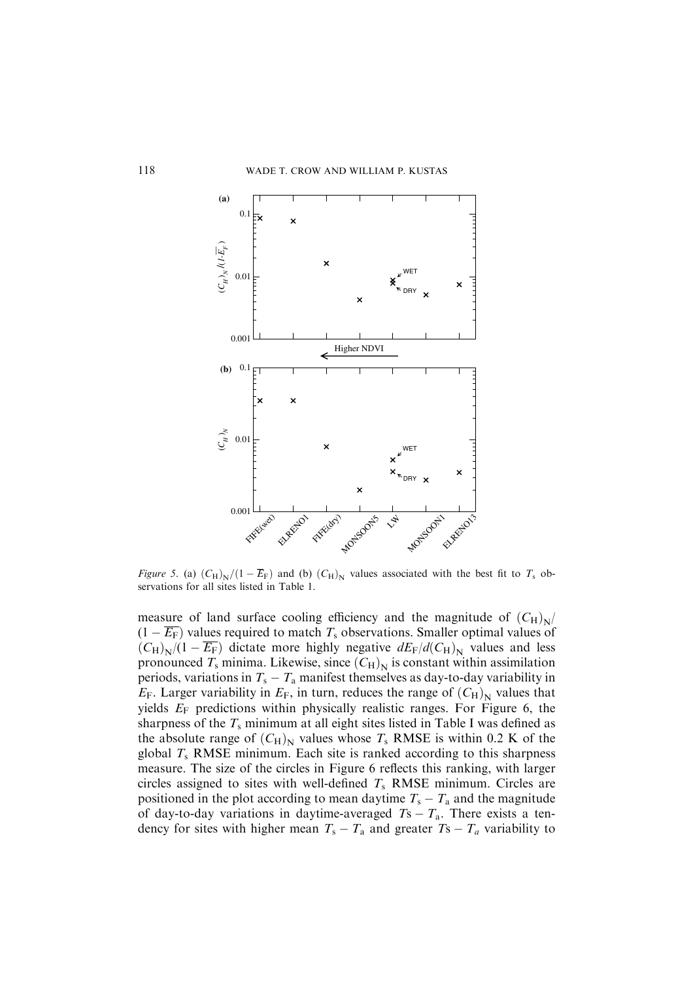

Figure 5. (a)  $(C_H)_N/(1-\overline{E}_F)$  and (b)  $(C_H)_N$  values associated with the best fit to T<sub>s</sub> observations for all sites listed in Table 1.

measure of land surface cooling efficiency and the magnitude of  $(C_H)_{N}$  $(1 - \overline{E_{\rm F}})$  values required to match  $T_s$  observations. Smaller optimal values of  $(C_H)_{\text{N}}/(1 - \overline{E_{\text{F}}})$  dictate more highly negative  $dE_{\text{F}}/d(C_H)_{\text{N}}$  values and less pronounced  $T_s$  minima. Likewise, since  $(C_H)_{N}$  is constant within assimilation periods, variations in  $T_s - T_a$  manifest themselves as day-to-day variability in  $E_F$ . Larger variability in  $E_F$ , in turn, reduces the range of  $(C_H)_N$  values that yields  $E_F$  predictions within physically realistic ranges. For Figure 6, the sharpness of the  $T_s$  minimum at all eight sites listed in Table I was defined as the absolute range of  $(C_H)_N$  values whose  $T_s$  RMSE is within 0.2 K of the global  $T_s$  RMSE minimum. Each site is ranked according to this sharpness measure. The size of the circles in Figure 6 reflects this ranking, with larger circles assigned to sites with well-defined  $T_s$  RMSE minimum. Circles are positioned in the plot according to mean daytime  $T_s - T_a$  and the magnitude of day-to-day variations in daytime-averaged  $Ts - T_a$ . There exists a tendency for sites with higher mean  $T_s - T_a$  and greater  $Ts - T_a$  variability to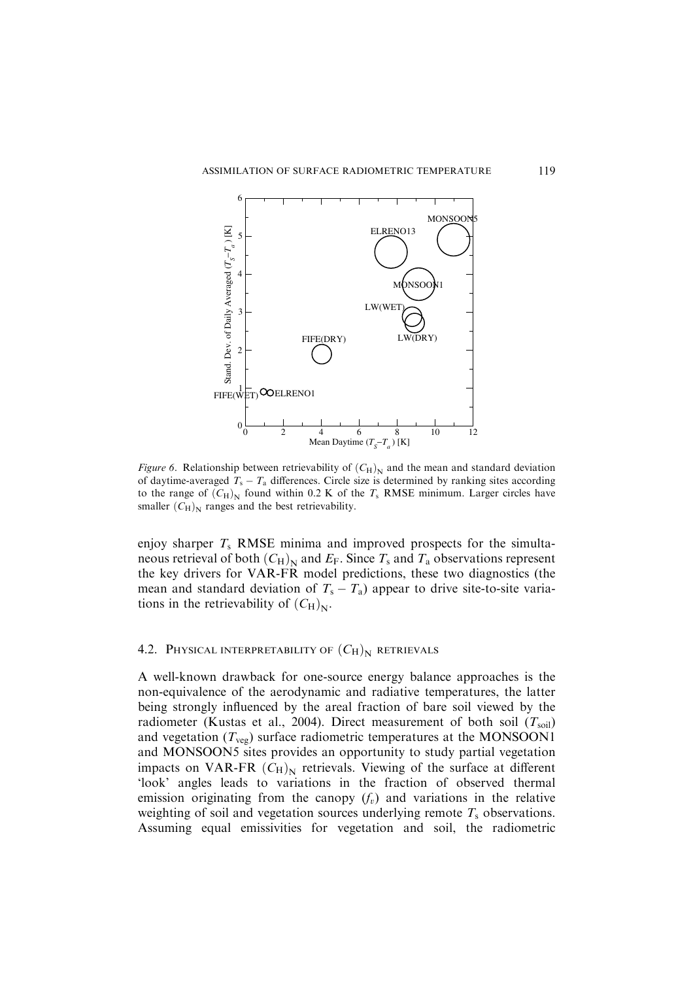

Figure 6. Relationship between retrievability of  $(C_H)$ <sub>N</sub> and the mean and standard deviation of daytime-averaged  $T_s - T_a$  differences. Circle size is determined by ranking sites according to the range of  $(C_H)_N$  found within 0.2 K of the  $T_s$  RMSE minimum. Larger circles have smaller  $(C_H)$ <sub>N</sub> ranges and the best retrievability.

enjoy sharper  $T_s$  RMSE minima and improved prospects for the simultaneous retrieval of both  $(C_H)_{N}$  and  $E_F$ . Since  $T_s$  and  $T_a$  observations represent the key drivers for VAR-FR model predictions, these two diagnostics (the mean and standard deviation of  $T_s - T_a$ ) appear to drive site-to-site variations in the retrievability of  $(C_H)_{N}$ .

# 4.2. PHYSICAL INTERPRETABILITY OF  $(C_H)_N$  retrievals

A well-known drawback for one-source energy balance approaches is the non-equivalence of the aerodynamic and radiative temperatures, the latter being strongly influenced by the areal fraction of bare soil viewed by the radiometer (Kustas et al., 2004). Direct measurement of both soil  $(T_{\text{sol}})$ and vegetation  $(T_{\text{veg}})$  surface radiometric temperatures at the MONSOON1 and MONSOON5 sites provides an opportunity to study partial vegetation impacts on VAR-FR  $(C_H)$ <sub>N</sub> retrievals. Viewing of the surface at different 'look' angles leads to variations in the fraction of observed thermal emission originating from the canopy  $(f_v)$  and variations in the relative weighting of soil and vegetation sources underlying remote  $T_s$  observations. Assuming equal emissivities for vegetation and soil, the radiometric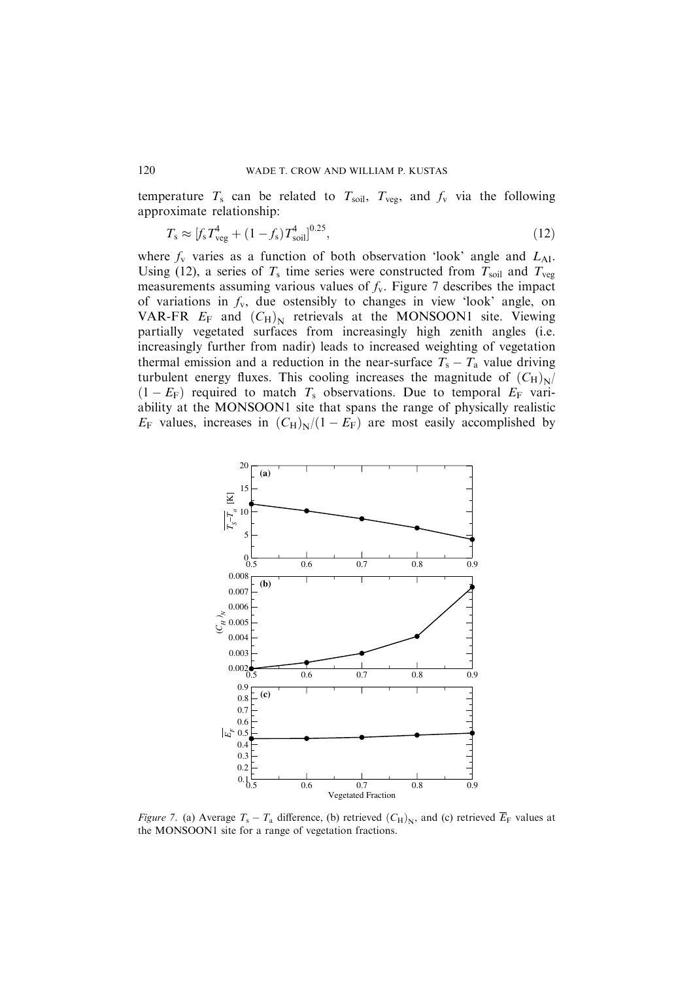temperature  $T_s$  can be related to  $T_{soli}$ ,  $T_{veg}$ , and  $f_v$  via the following approximate relationship:

$$
T_s \approx [f_s T_{\text{veg}}^4 + (1 - f_s) T_{\text{solid}}^4]^{0.25},\tag{12}
$$

where  $f_v$  varies as a function of both observation 'look' angle and  $L_{\text{Al}}$ . Using (12), a series of  $T_s$  time series were constructed from  $T_{\text{solid}}$  and  $T_{\text{veg}}$ measurements assuming various values of  $f_v$ . Figure 7 describes the impact of variations in  $f_v$ , due ostensibly to changes in view 'look' angle, on VAR-FR  $E_F$  and  $(C_H)_N$  retrievals at the MONSOON1 site. Viewing partially vegetated surfaces from increasingly high zenith angles (i.e. increasingly further from nadir) leads to increased weighting of vegetation thermal emission and a reduction in the near-surface  $T_s - T_a$  value driving turbulent energy fluxes. This cooling increases the magnitude of  $(C_H)_{N}$  $(1 - E_F)$  required to match  $T_s$  observations. Due to temporal  $E_F$  variability at the MONSOON1 site that spans the range of physically realistic  $E_F$  values, increases in  $(C_H)_N/(1 - E_F)$  are most easily accomplished by



Figure 7. (a) Average  $T_s - T_a$  difference, (b) retrieved  $(C_H)_{\text{N}}$ , and (c) retrieved  $\overline{E}_{\text{F}}$  values at the MONSOON1 site for a range of vegetation fractions.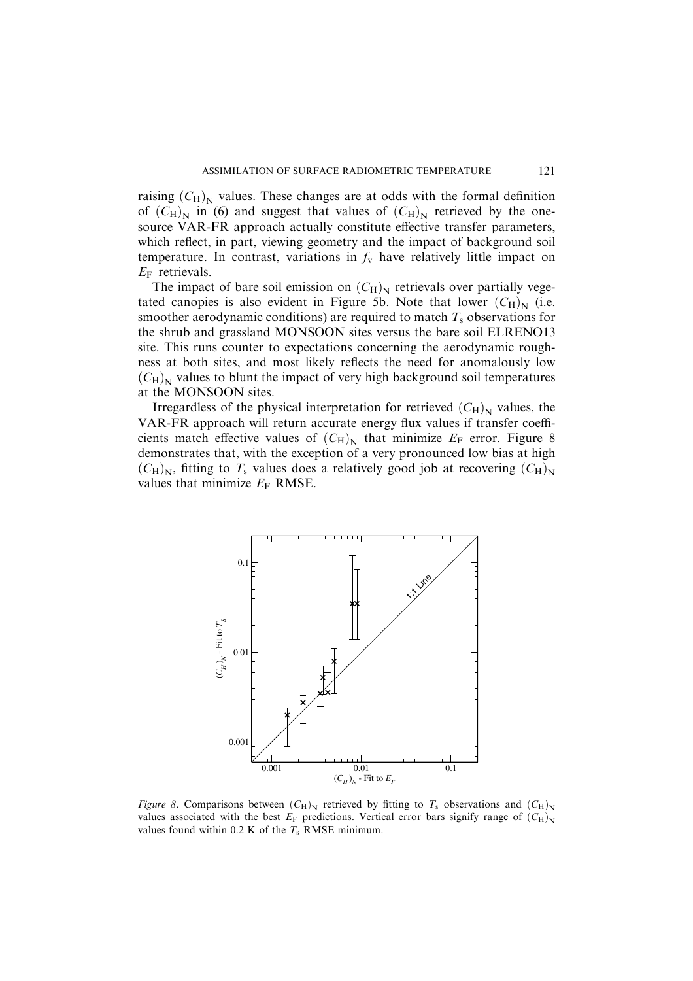raising  $(C_H)$ <sub>N</sub> values. These changes are at odds with the formal definition of  $(C_H)$ <sub>N</sub> in (6) and suggest that values of  $(C_H)$ <sub>N</sub> retrieved by the onesource VAR-FR approach actually constitute effective transfer parameters, which reflect, in part, viewing geometry and the impact of background soil temperature. In contrast, variations in  $f_v$  have relatively little impact on  $E_F$  retrievals.

The impact of bare soil emission on  $(C_H)_N$  retrievals over partially vegetated canopies is also evident in Figure 5b. Note that lower  $(C_H)_{N}$  (i.e. smoother aerodynamic conditions) are required to match  $T_s$  observations for the shrub and grassland MONSOON sites versus the bare soil ELRENO13 site. This runs counter to expectations concerning the aerodynamic roughness at both sites, and most likely reflects the need for anomalously low  $(C_H)$ <sub>N</sub> values to blunt the impact of very high background soil temperatures at the MONSOON sites.

Irregardless of the physical interpretation for retrieved  $(C_H)_{N}$  values, the VAR-FR approach will return accurate energy flux values if transfer coefficients match effective values of  $(C_H)_{N}$  that minimize  $E_F$  error. Figure 8 demonstrates that, with the exception of a very pronounced low bias at high  $(C_H)_{N}$ , fitting to  $T_s$  values does a relatively good job at recovering  $(C_H)_{N}$ values that minimize  $E_F$  RMSE.



Figure 8. Comparisons between  $(C_H)_{N}$  retrieved by fitting to T<sub>s</sub> observations and  $(C_H)_{N}$ values associated with the best  $E_F$  predictions. Vertical error bars signify range of  $(C_H)_N$ values found within 0.2 K of the  $T_s$  RMSE minimum.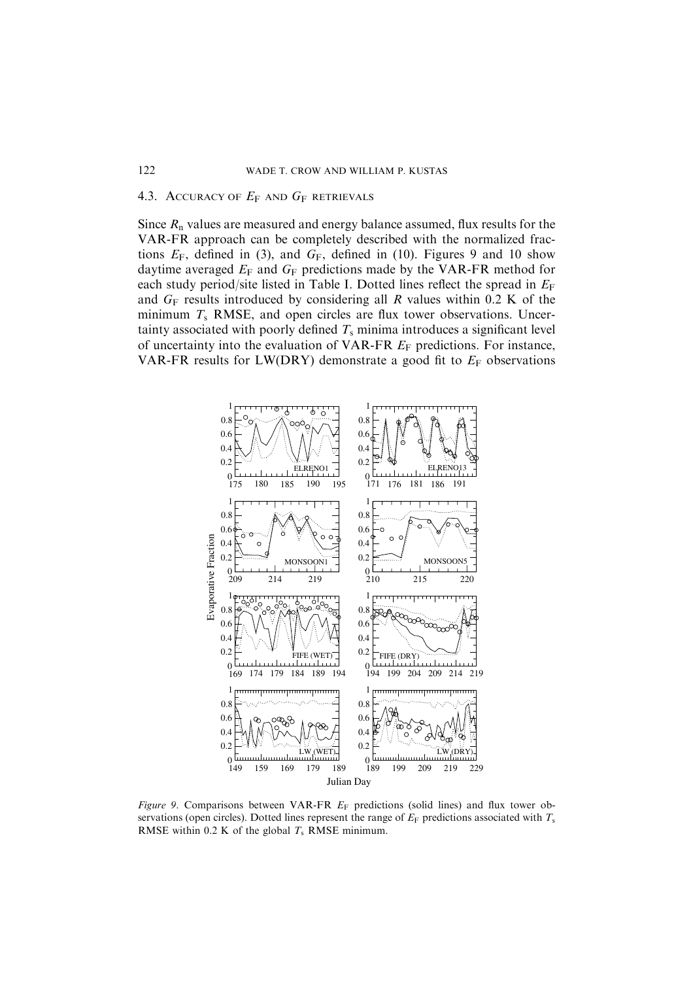#### 122 WADE T. CROW AND WILLIAM P. KUSTAS

# 4.3. ACCURACY OF  $E_F$  and  $G_F$  retrievals

Since  $R_n$  values are measured and energy balance assumed, flux results for the VAR-FR approach can be completely described with the normalized fractions  $E_F$ , defined in (3), and  $G_F$ , defined in (10). Figures 9 and 10 show daytime averaged  $E_F$  and  $G_F$  predictions made by the VAR-FR method for each study period/site listed in Table I. Dotted lines reflect the spread in  $E_F$ and  $G_F$  results introduced by considering all R values within 0.2 K of the minimum  $T_s$  RMSE, and open circles are flux tower observations. Uncertainty associated with poorly defined  $T_s$  minima introduces a significant level of uncertainty into the evaluation of VAR-FR  $E_F$  predictions. For instance, VAR-FR results for LW(DRY) demonstrate a good fit to  $E_F$  observations



Figure 9. Comparisons between VAR-FR  $E_F$  predictions (solid lines) and flux tower observations (open circles). Dotted lines represent the range of  $E_F$  predictions associated with  $T_s$ RMSE within 0.2 K of the global  $T_s$  RMSE minimum.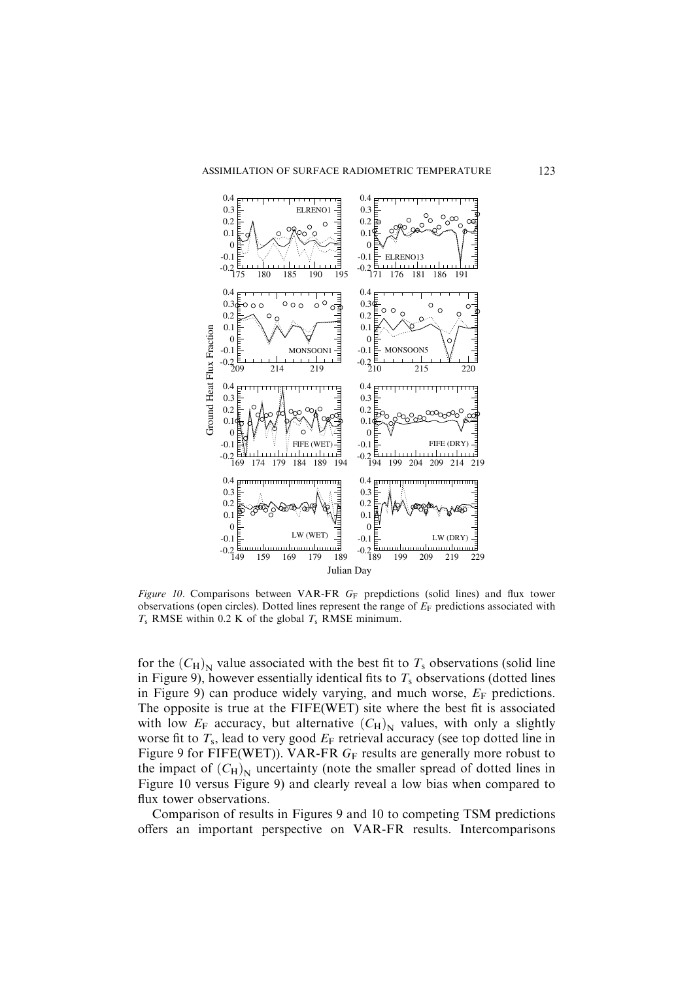

Figure 10. Comparisons between VAR-FR  $G_F$  prepdictions (solid lines) and flux tower observations (open circles). Dotted lines represent the range of  $E_F$  predictions associated with  $T_s$  RMSE within 0.2 K of the global  $T_s$  RMSE minimum.

for the  $(C_H)$ <sub>N</sub> value associated with the best fit to  $T_s$  observations (solid line in Figure 9), however essentially identical fits to  $T_s$  observations (dotted lines in Figure 9) can produce widely varying, and much worse,  $E_F$  predictions. The opposite is true at the FIFE(WET) site where the best fit is associated with low  $E_F$  accuracy, but alternative  $(C_H)_N$  values, with only a slightly worse fit to  $T_s$ , lead to very good  $E_F$  retrieval accuracy (see top dotted line in Figure 9 for FIFE(WET)). VAR-FR  $G_F$  results are generally more robust to the impact of  $(C_H)$ <sub>N</sub> uncertainty (note the smaller spread of dotted lines in Figure 10 versus Figure 9) and clearly reveal a low bias when compared to flux tower observations.

Comparison of results in Figures 9 and 10 to competing TSM predictions offers an important perspective on VAR-FR results. Intercomparisons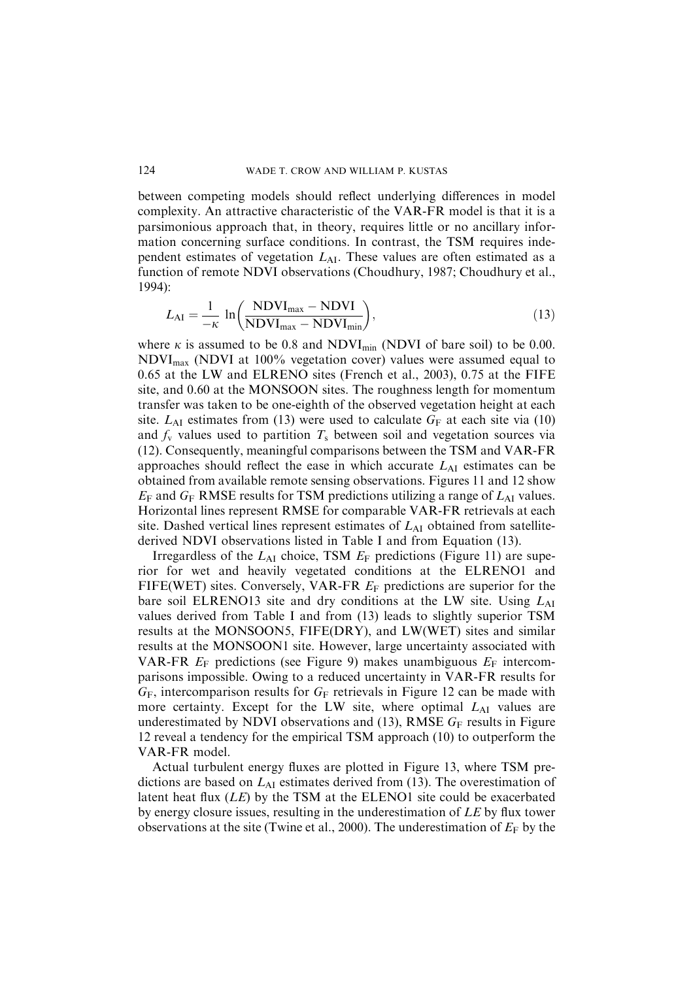between competing models should reflect underlying differences in model complexity. An attractive characteristic of the VAR-FR model is that it is a parsimonious approach that, in theory, requires little or no ancillary information concerning surface conditions. In contrast, the TSM requires independent estimates of vegetation  $L_{AI}$ . These values are often estimated as a function of remote NDVI observations (Choudhury, 1987; Choudhury et al., 1994):

$$
L_{\rm AI} = \frac{1}{-\kappa} \ln \left( \frac{\rm NDVI_{max} - NDVI}{\rm NDVI_{max} - NDVI_{min}} \right),\tag{13}
$$

where  $\kappa$  is assumed to be 0.8 and NDVI<sub>min</sub> (NDVI of bare soil) to be 0.00. NDVImax (NDVI at 100% vegetation cover) values were assumed equal to 0.65 at the LW and ELRENO sites (French et al., 2003), 0.75 at the FIFE site, and 0.60 at the MONSOON sites. The roughness length for momentum transfer was taken to be one-eighth of the observed vegetation height at each site.  $L_{\text{AI}}$  estimates from (13) were used to calculate  $G_F$  at each site via (10) and  $f<sub>v</sub>$  values used to partition  $T<sub>s</sub>$  between soil and vegetation sources via (12). Consequently, meaningful comparisons between the TSM and VAR-FR approaches should reflect the ease in which accurate  $L_{AI}$  estimates can be obtained from available remote sensing observations. Figures 11 and 12 show  $E_F$  and  $G_F$  RMSE results for TSM predictions utilizing a range of  $L_{\rm AI}$  values. Horizontal lines represent RMSE for comparable VAR-FR retrievals at each site. Dashed vertical lines represent estimates of  $L_{\text{Al}}$  obtained from satellitederived NDVI observations listed in Table I and from Equation (13).

Irregardless of the  $L_{\text{AI}}$  choice, TSM  $E_F$  predictions (Figure 11) are superior for wet and heavily vegetated conditions at the ELRENO1 and FIFE(WET) sites. Conversely, VAR-FR  $E_F$  predictions are superior for the bare soil ELRENO13 site and dry conditions at the LW site. Using  $L_{AI}$ values derived from Table I and from (13) leads to slightly superior TSM results at the MONSOON5, FIFE(DRY), and LW(WET) sites and similar results at the MONSOON1 site. However, large uncertainty associated with VAR-FR  $E_F$  predictions (see Figure 9) makes unambiguous  $E_F$  intercomparisons impossible. Owing to a reduced uncertainty in VAR-FR results for  $G_F$ , intercomparison results for  $G_F$  retrievals in Figure 12 can be made with more certainty. Except for the LW site, where optimal  $L_{AI}$  values are underestimated by NDVI observations and (13), RMSE  $G_F$  results in Figure 12 reveal a tendency for the empirical TSM approach (10) to outperform the VAR-FR model.

Actual turbulent energy fluxes are plotted in Figure 13, where TSM predictions are based on  $L_{\text{AI}}$  estimates derived from (13). The overestimation of latent heat flux (LE) by the TSM at the ELENO1 site could be exacerbated by energy closure issues, resulting in the underestimation of LE by flux tower observations at the site (Twine et al., 2000). The underestimation of  $E_F$  by the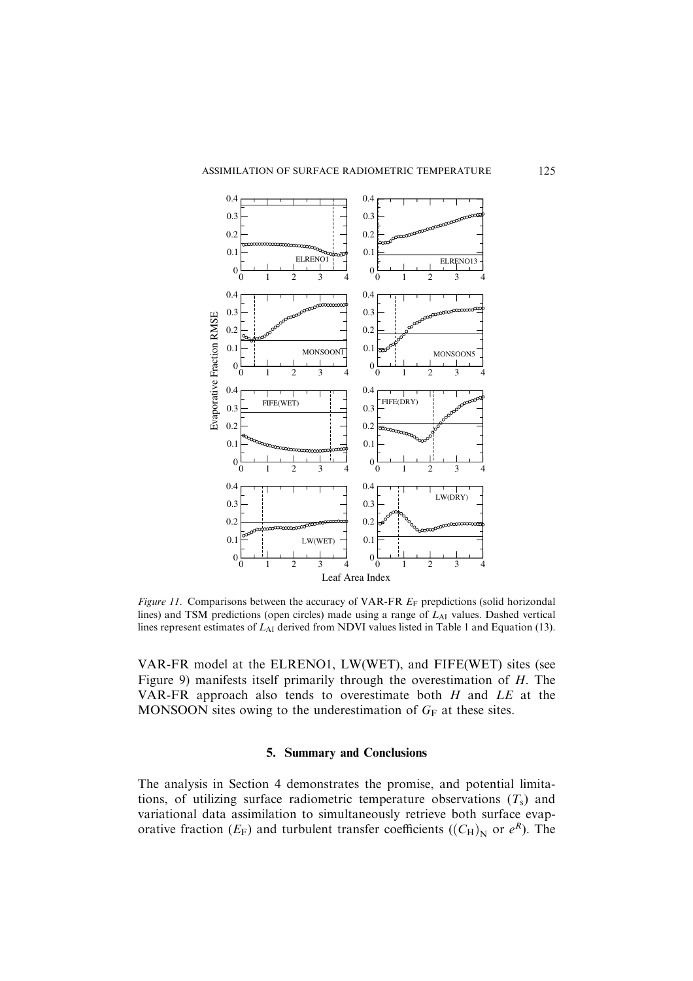

Figure 11. Comparisons between the accuracy of VAR-FR  $E_F$  prepdictions (solid horizondal lines) and TSM predictions (open circles) made using a range of  $L_{\rm AI}$  values. Dashed vertical lines represent estimates of  $L_{\text{AI}}$  derived from NDVI values listed in Table 1 and Equation (13).

VAR-FR model at the ELRENO1, LW(WET), and FIFE(WET) sites (see Figure 9) manifests itself primarily through the overestimation of H. The VAR-FR approach also tends to overestimate both  $H$  and  $LE$  at the MONSOON sites owing to the underestimation of  $G_F$  at these sites.

# 5. Summary and Conclusions

The analysis in Section 4 demonstrates the promise, and potential limitations, of utilizing surface radiometric temperature observations  $(T<sub>s</sub>)$  and variational data assimilation to simultaneously retrieve both surface evaporative fraction ( $E_F$ ) and turbulent transfer coefficients (( $C_H$ )<sub>N</sub> or  $e^R$ ). The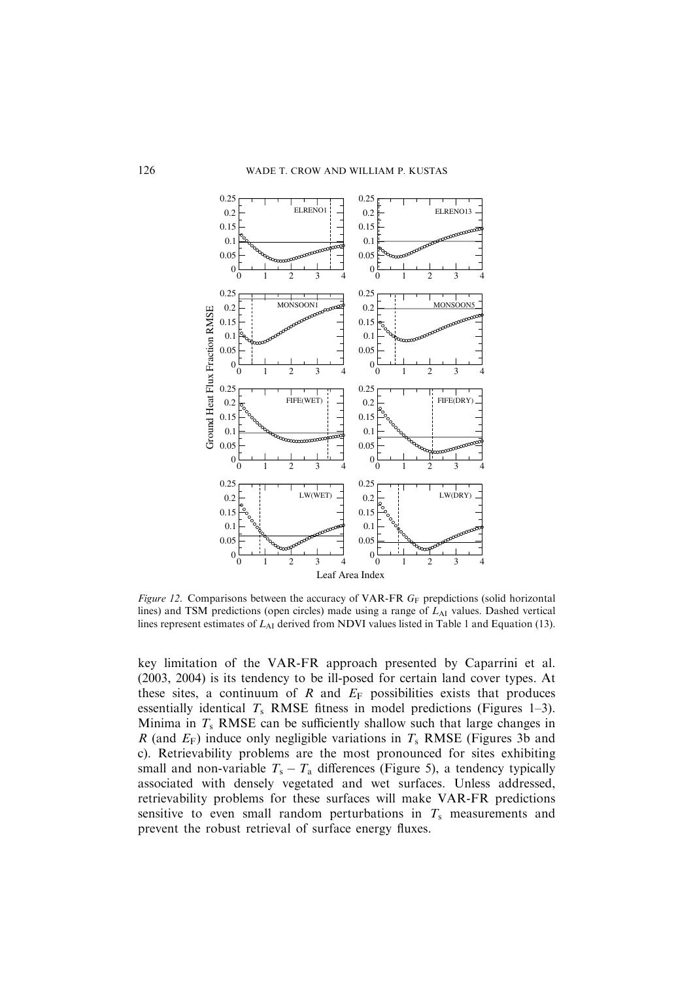

Figure 12. Comparisons between the accuracy of VAR-FR  $G_F$  prepdictions (solid horizontal lines) and TSM predictions (open circles) made using a range of  $L_{\text{Al}}$  values. Dashed vertical lines represent estimates of LAI derived from NDVI values listed in Table 1 and Equation (13).

key limitation of the VAR-FR approach presented by Caparrini et al. (2003, 2004) is its tendency to be ill-posed for certain land cover types. At these sites, a continuum of R and  $E_F$  possibilities exists that produces essentially identical  $T_s$  RMSE fitness in model predictions (Figures 1–3). Minima in  $T_s$  RMSE can be sufficiently shallow such that large changes in R (and  $E_F$ ) induce only negligible variations in  $T_s$  RMSE (Figures 3b and c). Retrievability problems are the most pronounced for sites exhibiting small and non-variable  $T_s - T_a$  differences (Figure 5), a tendency typically associated with densely vegetated and wet surfaces. Unless addressed, retrievability problems for these surfaces will make VAR-FR predictions sensitive to even small random perturbations in  $T_s$  measurements and prevent the robust retrieval of surface energy fluxes.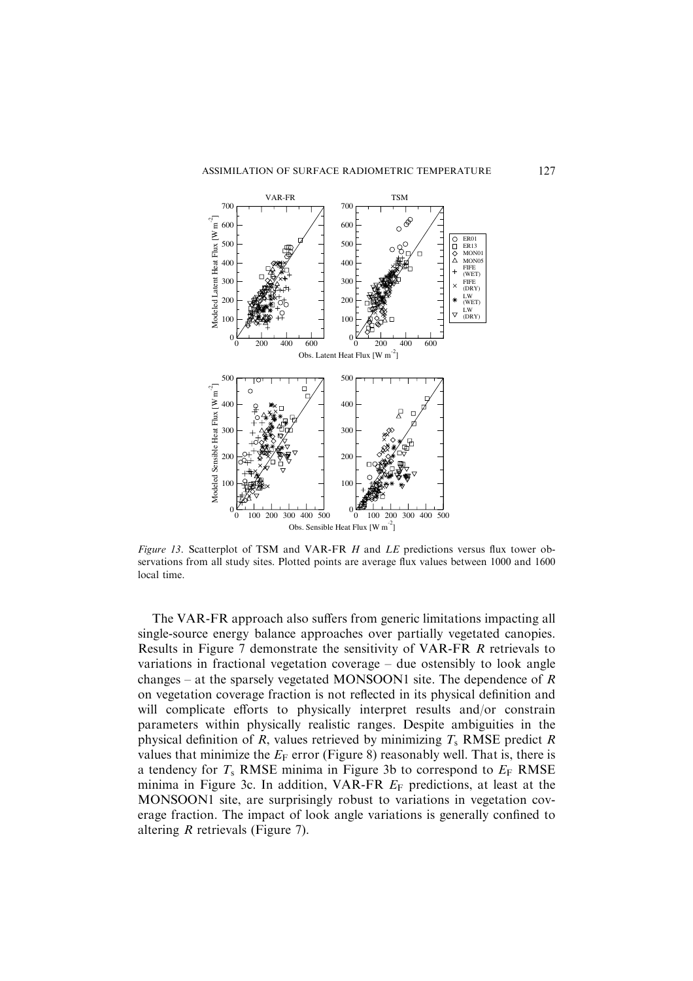

Figure 13. Scatterplot of TSM and VAR-FR  $H$  and  $LE$  predictions versus flux tower observations from all study sites. Plotted points are average flux values between 1000 and 1600 local time.

The VAR-FR approach also suffers from generic limitations impacting all single-source energy balance approaches over partially vegetated canopies. Results in Figure 7 demonstrate the sensitivity of VAR-FR R retrievals to variations in fractional vegetation coverage – due ostensibly to look angle changes – at the sparsely vegetated MONSOON1 site. The dependence of  $R$ on vegetation coverage fraction is not reflected in its physical definition and will complicate efforts to physically interpret results and/or constrain parameters within physically realistic ranges. Despite ambiguities in the physical definition of R, values retrieved by minimizing  $T_s$  RMSE predict R values that minimize the  $E_F$  error (Figure 8) reasonably well. That is, there is a tendency for  $T_s$  RMSE minima in Figure 3b to correspond to  $E_F$  RMSE minima in Figure 3c. In addition, VAR-FR  $E_F$  predictions, at least at the MONSOON1 site, are surprisingly robust to variations in vegetation coverage fraction. The impact of look angle variations is generally confined to altering R retrievals (Figure 7).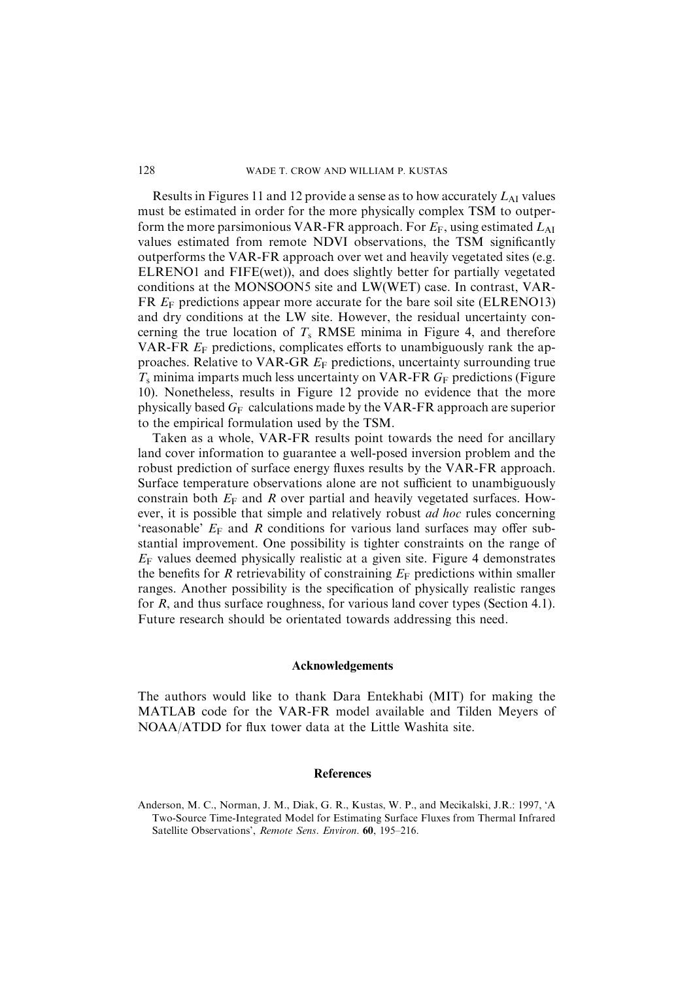#### 128 WADE T. CROW AND WILLIAM P. KUSTAS

Results in Figures 11 and 12 provide a sense as to how accurately  $L_{AI}$  values must be estimated in order for the more physically complex TSM to outperform the more parsimonious VAR-FR approach. For  $E_F$ , using estimated  $L_{\rm AI}$ values estimated from remote NDVI observations, the TSM significantly outperforms the VAR-FR approach over wet and heavily vegetated sites (e.g. ELRENO1 and FIFE(wet)), and does slightly better for partially vegetated conditions at the MONSOON5 site and LW(WET) case. In contrast, VAR-FR  $E_F$  predictions appear more accurate for the bare soil site (ELRENO13) and dry conditions at the LW site. However, the residual uncertainty concerning the true location of  $T_s$  RMSE minima in Figure 4, and therefore VAR-FR  $E_F$  predictions, complicates efforts to unambiguously rank the approaches. Relative to VAR-GR  $E_F$  predictions, uncertainty surrounding true  $T_s$  minima imparts much less uncertainty on VAR-FR  $G_F$  predictions (Figure 10). Nonetheless, results in Figure 12 provide no evidence that the more physically based  $G_F$  calculations made by the VAR-FR approach are superior to the empirical formulation used by the TSM.

Taken as a whole, VAR-FR results point towards the need for ancillary land cover information to guarantee a well-posed inversion problem and the robust prediction of surface energy fluxes results by the VAR-FR approach. Surface temperature observations alone are not sufficient to unambiguously constrain both  $E_F$  and R over partial and heavily vegetated surfaces. However, it is possible that simple and relatively robust *ad hoc* rules concerning 'reasonable'  $E_F$  and R conditions for various land surfaces may offer substantial improvement. One possibility is tighter constraints on the range of  $E_F$  values deemed physically realistic at a given site. Figure 4 demonstrates the benefits for R retrievability of constraining  $E_F$  predictions within smaller ranges. Another possibility is the specification of physically realistic ranges for R, and thus surface roughness, for various land cover types (Section 4.1). Future research should be orientated towards addressing this need.

#### Acknowledgements

The authors would like to thank Dara Entekhabi (MIT) for making the MATLAB code for the VAR-FR model available and Tilden Meyers of NOAA/ATDD for flux tower data at the Little Washita site.

### References

Anderson, M. C., Norman, J. M., Diak, G. R., Kustas, W. P., and Mecikalski, J.R.: 1997, 'A Two-Source Time-Integrated Model for Estimating Surface Fluxes from Thermal Infrared Satellite Observations', Remote Sens. Environ. 60, 195-216.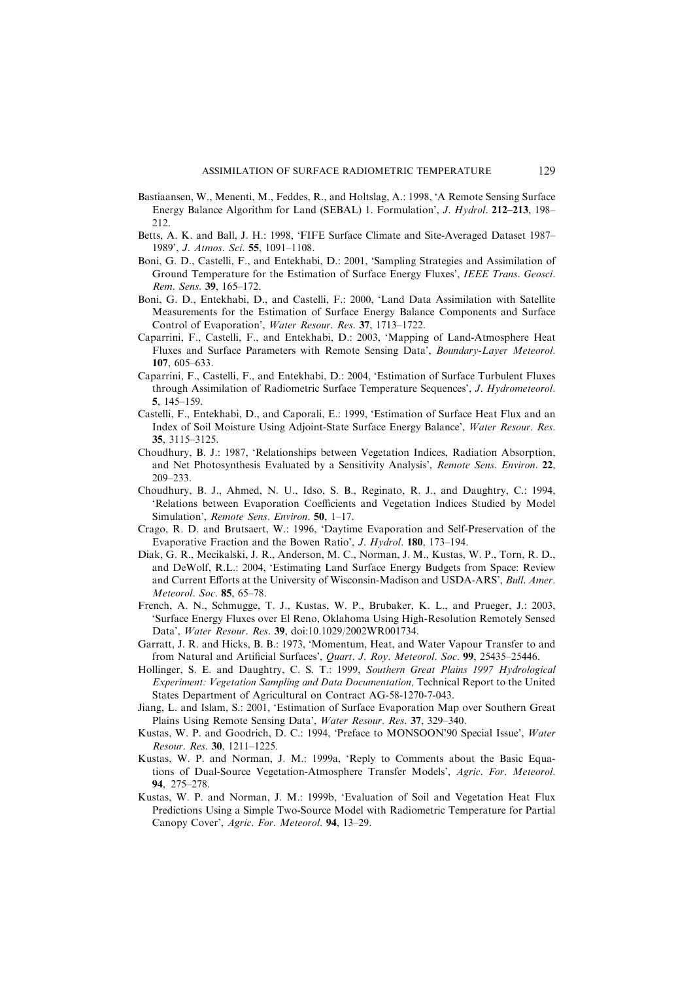- Bastiaansen, W., Menenti, M., Feddes, R., and Holtslag, A.: 1998, 'A Remote Sensing Surface Energy Balance Algorithm for Land (SEBAL) 1. Formulation', J. Hydrol. 212–213, 198– 212.
- Betts, A. K. and Ball, J. H.: 1998, 'FIFE Surface Climate and Site-Averaged Dataset 1987– 1989', J. Atmos. Sci. 55, 1091–1108.
- Boni, G. D., Castelli, F., and Entekhabi, D.: 2001, 'Sampling Strategies and Assimilation of Ground Temperature for the Estimation of Surface Energy Fluxes', IEEE Trans. Geosci. Rem. Sens. 39, 165–172.
- Boni, G. D., Entekhabi, D., and Castelli, F.: 2000, 'Land Data Assimilation with Satellite Measurements for the Estimation of Surface Energy Balance Components and Surface Control of Evaporation', Water Resour. Res. 37, 1713–1722.
- Caparrini, F., Castelli, F., and Entekhabi, D.: 2003, 'Mapping of Land-Atmosphere Heat Fluxes and Surface Parameters with Remote Sensing Data', Boundary-Layer Meteorol. 107, 605–633.
- Caparrini, F., Castelli, F., and Entekhabi, D.: 2004, 'Estimation of Surface Turbulent Fluxes through Assimilation of Radiometric Surface Temperature Sequences', J. Hydrometeorol. 5, 145–159.
- Castelli, F., Entekhabi, D., and Caporali, E.: 1999, 'Estimation of Surface Heat Flux and an Index of Soil Moisture Using Adjoint-State Surface Energy Balance', Water Resour. Res. 35, 3115–3125.
- Choudhury, B. J.: 1987, 'Relationships between Vegetation Indices, Radiation Absorption, and Net Photosynthesis Evaluated by a Sensitivity Analysis', Remote Sens. Environ. 22, 209–233.
- Choudhury, B. J., Ahmed, N. U., Idso, S. B., Reginato, R. J., and Daughtry, C.: 1994, 'Relations between Evaporation Coefficients and Vegetation Indices Studied by Model Simulation', Remote Sens. Environ. 50, 1-17.
- Crago, R. D. and Brutsaert, W.: 1996, 'Daytime Evaporation and Self-Preservation of the Evaporative Fraction and the Bowen Ratio', J. Hydrol. 180, 173–194.
- Diak, G. R., Mecikalski, J. R., Anderson, M. C., Norman, J. M., Kustas, W. P., Torn, R. D., and DeWolf, R.L.: 2004, 'Estimating Land Surface Energy Budgets from Space: Review and Current Efforts at the University of Wisconsin-Madison and USDA-ARS', Bull. Amer. Meteorol. Soc. 85, 65–78.
- French, A. N., Schmugge, T. J., Kustas, W. P., Brubaker, K. L., and Prueger, J.: 2003, 'Surface Energy Fluxes over El Reno, Oklahoma Using High-Resolution Remotely Sensed Data', Water Resour. Res. 39, doi:10.1029/2002WR001734.
- Garratt, J. R. and Hicks, B. B.: 1973, 'Momentum, Heat, and Water Vapour Transfer to and from Natural and Artificial Surfaces', Quart. J. Roy. Meteorol. Soc. 99, 25435-25446.
- Hollinger, S. E. and Daughtry, C. S. T.: 1999, Southern Great Plains 1997 Hydrological Experiment: Vegetation Sampling and Data Documentation, Technical Report to the United States Department of Agricultural on Contract AG-58-1270-7-043.
- Jiang, L. and Islam, S.: 2001, 'Estimation of Surface Evaporation Map over Southern Great Plains Using Remote Sensing Data', Water Resour. Res. 37, 329–340.
- Kustas, W. P. and Goodrich, D. C.: 1994, 'Preface to MONSOON'90 Special Issue', Water Resour. Res. 30, 1211–1225.
- Kustas, W. P. and Norman, J. M.: 1999a, 'Reply to Comments about the Basic Equations of Dual-Source Vegetation-Atmosphere Transfer Models', Agric. For. Meteorol. 94, 275–278.
- Kustas, W. P. and Norman, J. M.: 1999b, 'Evaluation of Soil and Vegetation Heat Flux Predictions Using a Simple Two-Source Model with Radiometric Temperature for Partial Canopy Cover', Agric. For. Meteorol. 94, 13–29.